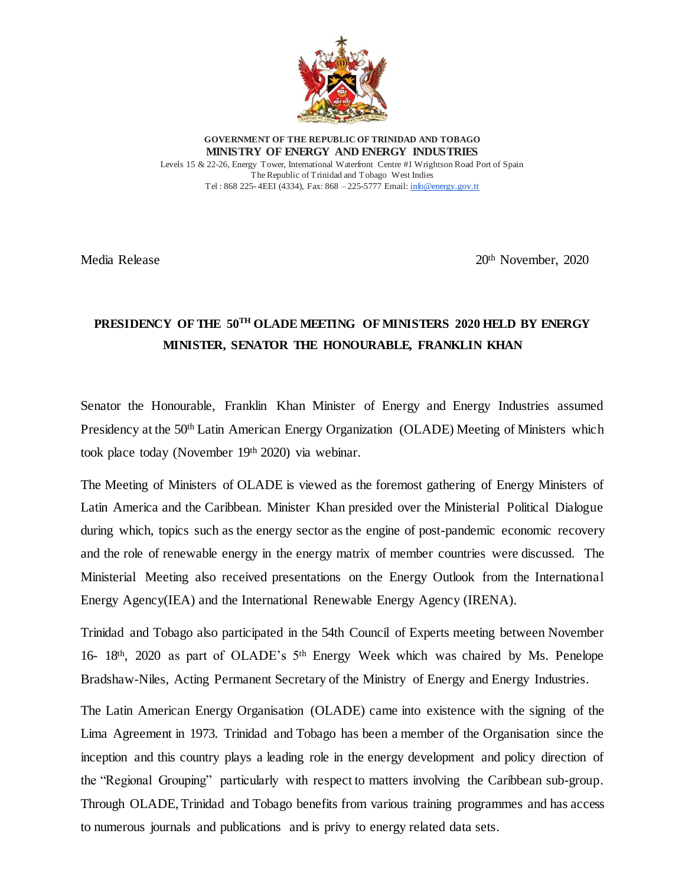

**GOVERNMENT OF THE REPUBLIC OF TRINIDAD AND TOBAGO MINISTRY OF ENERGY AND ENERGY INDUSTRIES** Levels 15 & 22-26, Energy Tower, International Waterfront Centre #1 Wrightson Road Port of Spain The Republic of Trinidad and Tobago West Indies Tel : 868 225- 4EEI (4334), Fax: 868 – 225-5777 Email[: info@energy.gov.tt](mailto:info@energy.gov.tt)

Media Release 2020 20th November, 2020

## **PRESIDENCY OF THE 50TH OLADE MEETING OF MINISTERS 2020 HELD BY ENERGY MINISTER, SENATOR THE HONOURABLE, FRANKLIN KHAN**

Senator the Honourable, Franklin Khan Minister of Energy and Energy Industries assumed Presidency at the 50<sup>th</sup> Latin American Energy Organization (OLADE) Meeting of Ministers which took place today (November 19th 2020) via webinar.

The Meeting of Ministers of OLADE is viewed as the foremost gathering of Energy Ministers of Latin America and the Caribbean. Minister Khan presided over the Ministerial Political Dialogue during which, topics such as the energy sector as the engine of post-pandemic economic recovery and the role of renewable energy in the energy matrix of member countries were discussed. The Ministerial Meeting also received presentations on the Energy Outlook from the International Energy Agency(IEA) and the International Renewable Energy Agency (IRENA).

Trinidad and Tobago also participated in the 54th Council of Experts meeting between November 16- 18<sup>th</sup>, 2020 as part of OLADE's 5<sup>th</sup> Energy Week which was chaired by Ms. Penelope Bradshaw-Niles, Acting Permanent Secretary of the Ministry of Energy and Energy Industries.

The Latin American Energy Organisation (OLADE) came into existence with the signing of the Lima Agreement in 1973. Trinidad and Tobago has been a member of the Organisation since the inception and this country plays a leading role in the energy development and policy direction of the "Regional Grouping" particularly with respect to matters involving the Caribbean sub-group. Through OLADE, Trinidad and Tobago benefits from various training programmes and has access to numerous journals and publications and is privy to energy related data sets.